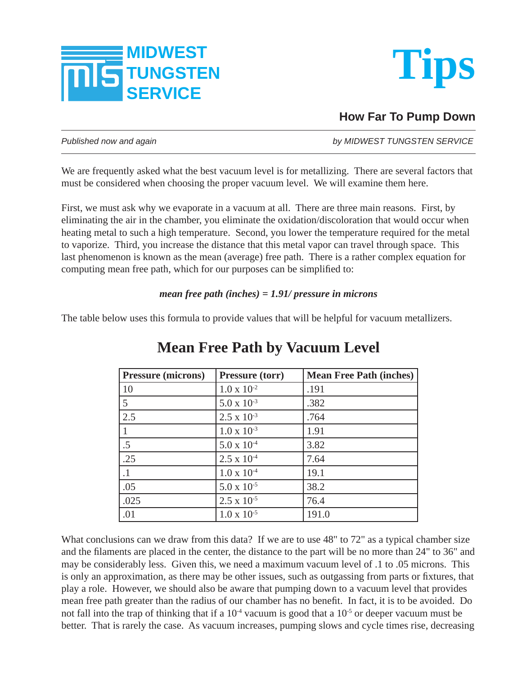



**How Far To Pump Down**

*Published now and again by MIDWEST TUNGSTEN SERVICE*

We are frequently asked what the best vacuum level is for metallizing. There are several factors that must be considered when choosing the proper vacuum level. We will examine them here.

First, we must ask why we evaporate in a vacuum at all. There are three main reasons. First, by eliminating the air in the chamber, you eliminate the oxidation/discoloration that would occur when heating metal to such a high temperature. Second, you lower the temperature required for the metal to vaporize. Third, you increase the distance that this metal vapor can travel through space. This last phenomenon is known as the mean (average) free path. There is a rather complex equation for computing mean free path, which for our purposes can be simplified to:

## *mean free path (inches) = 1.91/ pressure in microns*

The table below uses this formula to provide values that will be helpful for vacuum metallizers.

| <b>Pressure (microns)</b> | <b>Pressure (torr)</b> | <b>Mean Free Path (inches)</b> |
|---------------------------|------------------------|--------------------------------|
| 10                        | $1.0 \times 10^{-2}$   | .191                           |
| 5                         | $5.0 \times 10^{-3}$   | .382                           |
| 2.5                       | $2.5 \times 10^{-3}$   | .764                           |
|                           | $1.0 \times 10^{-3}$   | 1.91                           |
| $.5\,$                    | $5.0 \times 10^{-4}$   | 3.82                           |
| .25                       | $2.5 \times 10^{-4}$   | 7.64                           |
| $\cdot$ 1                 | $1.0 \times 10^{-4}$   | 19.1                           |
| .05                       | $5.0 \times 10^{-5}$   | 38.2                           |
| .025                      | $2.5 \times 10^{-5}$   | 76.4                           |
| .01                       | $1.0 \times 10^{-5}$   | 191.0                          |

## **Mean Free Path by Vacuum Level**

What conclusions can we draw from this data? If we are to use 48" to 72" as a typical chamber size and the filaments are placed in the center, the distance to the part will be no more than 24" to 36" and may be considerably less. Given this, we need a maximum vacuum level of .1 to .05 microns. This is only an approximation, as there may be other issues, such as outgassing from parts or fixtures, that play a role. However, we should also be aware that pumping down to a vacuum level that provides mean free path greater than the radius of our chamber has no benefit. In fact, it is to be avoided. Do not fall into the trap of thinking that if a  $10^{-4}$  vacuum is good that a  $10^{-5}$  or deeper vacuum must be better. That is rarely the case. As vacuum increases, pumping slows and cycle times rise, decreasing